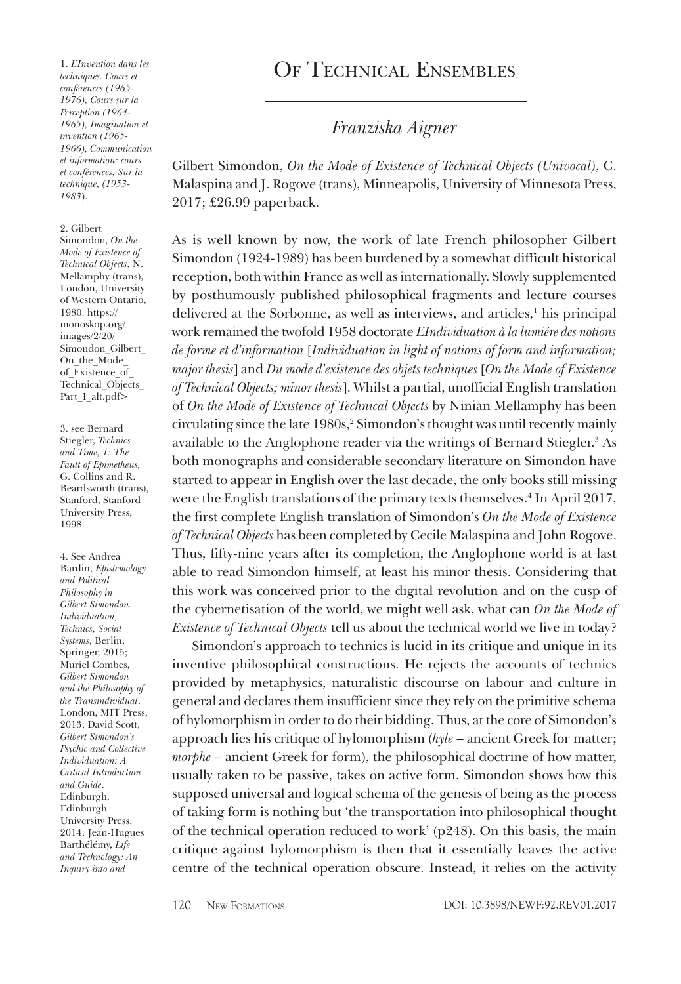1. *L'Invention dans les techniques. Cours et conférences (1965- 1976), Cours sur la Perception (1964- 1965), Imagination et invention (1965- 1966), Communication et information: cours et conférences, Sur la technique, (1953- 1983*).

#### 2. Gilbert

Simondon, *On the Mode of Existence of Technical Objects*, N. Mellamphy (trans), London, University of Western Ontario, 1980. https:// monoskop.org/ images/2/20/ Simondon\_Gilbert On the Mode of\_Existence\_of\_ Technical Objects Part I alt.pdf>

3. see Bernard Stiegler, *Technics and Time, 1: The Fault of Epimetheus,* G. Collins and R. Beardsworth (trans), Stanford, Stanford University Press, 1998.

4. See Andrea Bardin, *Epistemology and Political Philosophy in Gilbert Simondon: Individuation, Technics, Social Systems*, Berlin, Springer, 2015; Muriel Combes, *Gilbert Simondon and the Philosophy of the Transindividual*. London, MIT Press, 2013; David Scott, *Gilbert Simondon's Psychic and Collective Individuation: A Critical Introduction and Guide*. Edinburgh, Edinburgh University Press, 2014; Jean-Hugues Barthélémy, *Life and Technology: An Inquiry into and* 

# OF TECHNICAL ENSEMBLES

#### *Franziska Aigner*

Gilbert Simondon, *On the Mode of Existence of Technical Objects (Univocal)*, C. Malaspina and J. Rogove (trans), Minneapolis, University of Minnesota Press, 2017; £26.99 paperback.

As is well known by now, the work of late French philosopher Gilbert Simondon (1924-1989) has been burdened by a somewhat difficult historical reception, both within France as well as internationally. Slowly supplemented by posthumously published philosophical fragments and lecture courses delivered at the Sorbonne, as well as interviews, and articles,<sup>1</sup> his principal work remained the twofold 1958 doctorate *L'Individuation à la lumiére des notions de forme et d'information* [*Individuation in light of notions of form and information; major thesis*] and *Du mode d'existence des objets techniques* [*On the Mode of Existence of Technical Objects; minor thesis*]. Whilst a partial, unofficial English translation of *On the Mode of Existence of Technical Objects* by Ninian Mellamphy has been circulating since the late 1980s,<sup>2</sup> Simondon's thought was until recently mainly available to the Anglophone reader via the writings of Bernard Stiegler.3 As both monographs and considerable secondary literature on Simondon have started to appear in English over the last decade, the only books still missing were the English translations of the primary texts themselves.4 In April 2017, the first complete English translation of Simondon's *On the Mode of Existence of Technical Objects* has been completed by Cecile Malaspina and John Rogove. Thus, fifty-nine years after its completion, the Anglophone world is at last able to read Simondon himself, at least his minor thesis. Considering that this work was conceived prior to the digital revolution and on the cusp of the cybernetisation of the world, we might well ask, what can *On the Mode of Existence of Technical Objects* tell us about the technical world we live in today?

Simondon's approach to technics is lucid in its critique and unique in its inventive philosophical constructions. He rejects the accounts of technics provided by metaphysics, naturalistic discourse on labour and culture in general and declares them insufficient since they rely on the primitive schema of hylomorphism in order to do their bidding. Thus, at the core of Simondon's approach lies his critique of hylomorphism (*hyle* – ancient Greek for matter; *morphe* – ancient Greek for form), the philosophical doctrine of how matter, usually taken to be passive, takes on active form. Simondon shows how this supposed universal and logical schema of the genesis of being as the process of taking form is nothing but 'the transportation into philosophical thought of the technical operation reduced to work' (p248). On this basis, the main critique against hylomorphism is then that it essentially leaves the active centre of the technical operation obscure. Instead, it relies on the activity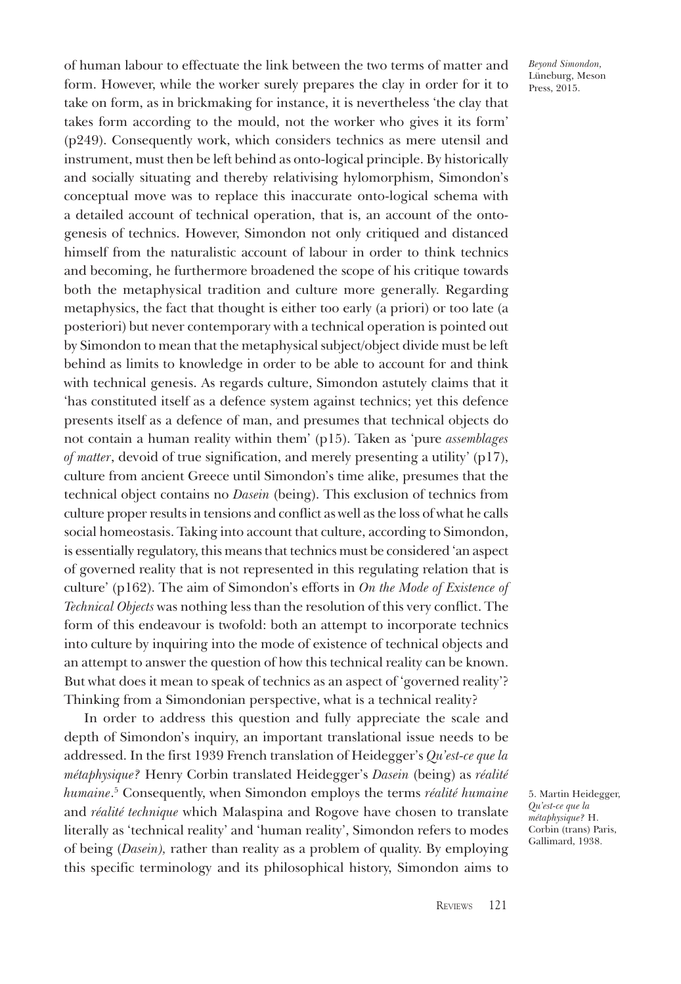of human labour to effectuate the link between the two terms of matter and form. However, while the worker surely prepares the clay in order for it to take on form, as in brickmaking for instance, it is nevertheless 'the clay that takes form according to the mould, not the worker who gives it its form' (p249). Consequently work, which considers technics as mere utensil and instrument, must then be left behind as onto-logical principle. By historically and socially situating and thereby relativising hylomorphism, Simondon's conceptual move was to replace this inaccurate onto-logical schema with a detailed account of technical operation, that is, an account of the ontogenesis of technics. However, Simondon not only critiqued and distanced himself from the naturalistic account of labour in order to think technics and becoming, he furthermore broadened the scope of his critique towards both the metaphysical tradition and culture more generally. Regarding metaphysics, the fact that thought is either too early (a priori) or too late (a posteriori) but never contemporary with a technical operation is pointed out by Simondon to mean that the metaphysical subject/object divide must be left behind as limits to knowledge in order to be able to account for and think with technical genesis. As regards culture, Simondon astutely claims that it 'has constituted itself as a defence system against technics; yet this defence presents itself as a defence of man, and presumes that technical objects do not contain a human reality within them' (p15). Taken as 'pure *assemblages of matter*, devoid of true signification, and merely presenting a utility' (p17), culture from ancient Greece until Simondon's time alike, presumes that the technical object contains no *Dasein* (being). This exclusion of technics from culture proper results in tensions and conflict as well as the loss of what he calls social homeostasis. Taking into account that culture, according to Simondon, is essentially regulatory, this means that technics must be considered 'an aspect of governed reality that is not represented in this regulating relation that is culture' (p162). The aim of Simondon's efforts in *On the Mode of Existence of Technical Objects* was nothing less than the resolution of this very conflict. The form of this endeavour is twofold: both an attempt to incorporate technics into culture by inquiring into the mode of existence of technical objects and an attempt to answer the question of how this technical reality can be known. But what does it mean to speak of technics as an aspect of 'governed reality'? Thinking from a Simondonian perspective, what is a technical reality?

In order to address this question and fully appreciate the scale and depth of Simondon's inquiry, an important translational issue needs to be addressed. In the first 1939 French translation of Heidegger's *Qu'est-ce que la métaphysique?* Henry Corbin translated Heidegger's *Dasein* (being) as *réalité humaine*. 5 Consequently, when Simondon employs the terms *réalité humaine* and *réalité technique* which Malaspina and Rogove have chosen to translate literally as 'technical reality' and 'human reality', Simondon refers to modes of being (*Dasein),* rather than reality as a problem of quality. By employing this specific terminology and its philosophical history, Simondon aims to

5. Martin Heidegger, *Qu'est-ce que la métaphysique?* H. Corbin (trans) Paris, Gallimard, 1938.

*Beyond Simondon,* Lüneburg, Meson Press, 2015.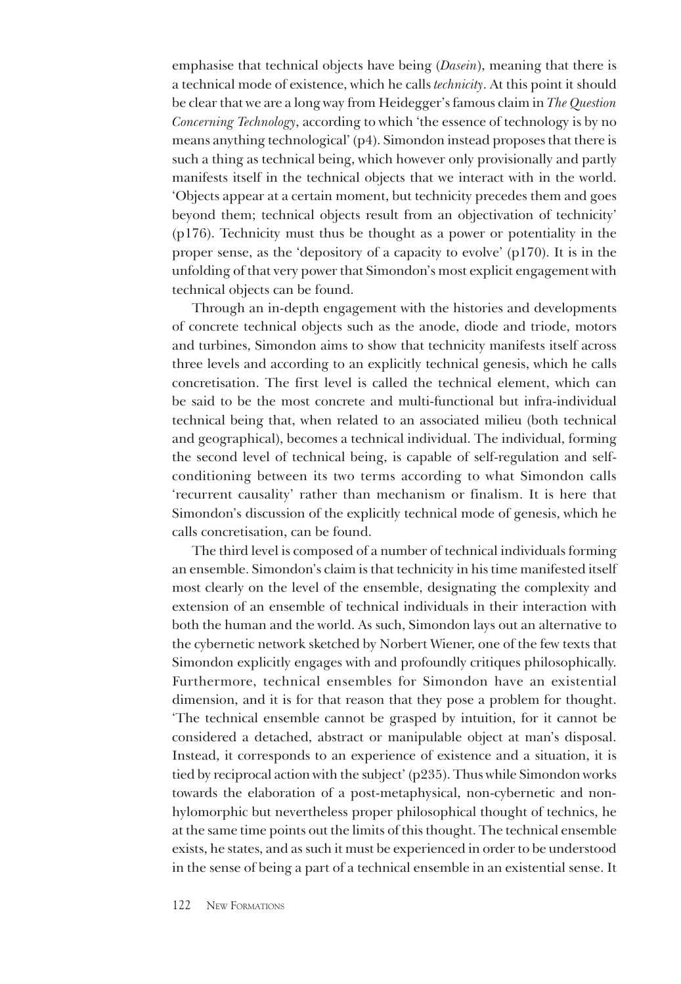emphasise that technical objects have being (*Dasein*), meaning that there is a technical mode of existence, which he calls *technicity*. At this point it should be clear that we are a long way from Heidegger's famous claim in *The Question Concerning Technology*, according to which 'the essence of technology is by no means anything technological' (p4). Simondon instead proposes that there is such a thing as technical being, which however only provisionally and partly manifests itself in the technical objects that we interact with in the world. 'Objects appear at a certain moment, but technicity precedes them and goes beyond them; technical objects result from an objectivation of technicity' (p176). Technicity must thus be thought as a power or potentiality in the proper sense, as the 'depository of a capacity to evolve' (p170). It is in the unfolding of that very power that Simondon's most explicit engagement with technical objects can be found.

Through an in-depth engagement with the histories and developments of concrete technical objects such as the anode, diode and triode, motors and turbines, Simondon aims to show that technicity manifests itself across three levels and according to an explicitly technical genesis, which he calls concretisation. The first level is called the technical element, which can be said to be the most concrete and multi-functional but infra-individual technical being that, when related to an associated milieu (both technical and geographical), becomes a technical individual. The individual, forming the second level of technical being, is capable of self-regulation and selfconditioning between its two terms according to what Simondon calls 'recurrent causality' rather than mechanism or finalism. It is here that Simondon's discussion of the explicitly technical mode of genesis, which he calls concretisation, can be found.

The third level is composed of a number of technical individuals forming an ensemble. Simondon's claim is that technicity in his time manifested itself most clearly on the level of the ensemble, designating the complexity and extension of an ensemble of technical individuals in their interaction with both the human and the world. As such, Simondon lays out an alternative to the cybernetic network sketched by Norbert Wiener, one of the few texts that Simondon explicitly engages with and profoundly critiques philosophically. Furthermore, technical ensembles for Simondon have an existential dimension, and it is for that reason that they pose a problem for thought. 'The technical ensemble cannot be grasped by intuition, for it cannot be considered a detached, abstract or manipulable object at man's disposal. Instead, it corresponds to an experience of existence and a situation, it is tied by reciprocal action with the subject' (p235). Thus while Simondon works towards the elaboration of a post-metaphysical, non-cybernetic and nonhylomorphic but nevertheless proper philosophical thought of technics, he at the same time points out the limits of this thought. The technical ensemble exists, he states, and as such it must be experienced in order to be understood in the sense of being a part of a technical ensemble in an existential sense. It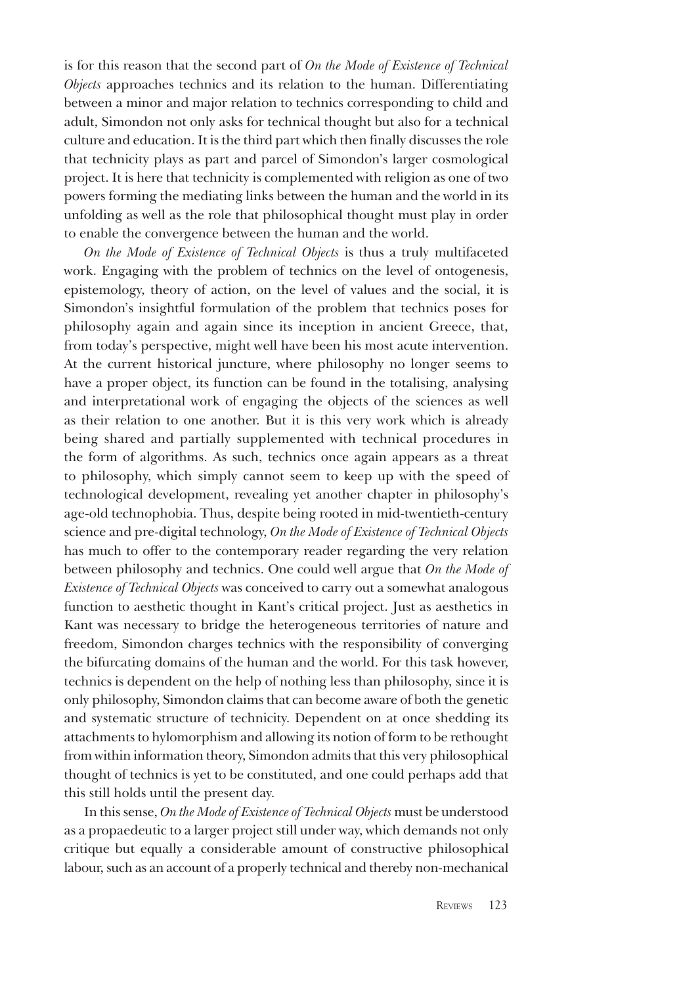is for this reason that the second part of *On the Mode of Existence of Technical Objects* approaches technics and its relation to the human. Differentiating between a minor and major relation to technics corresponding to child and adult, Simondon not only asks for technical thought but also for a technical culture and education. It is the third part which then finally discusses the role that technicity plays as part and parcel of Simondon's larger cosmological project. It is here that technicity is complemented with religion as one of two powers forming the mediating links between the human and the world in its unfolding as well as the role that philosophical thought must play in order to enable the convergence between the human and the world.

*On the Mode of Existence of Technical Objects* is thus a truly multifaceted work. Engaging with the problem of technics on the level of ontogenesis, epistemology, theory of action, on the level of values and the social, it is Simondon's insightful formulation of the problem that technics poses for philosophy again and again since its inception in ancient Greece, that, from today's perspective, might well have been his most acute intervention. At the current historical juncture, where philosophy no longer seems to have a proper object, its function can be found in the totalising, analysing and interpretational work of engaging the objects of the sciences as well as their relation to one another. But it is this very work which is already being shared and partially supplemented with technical procedures in the form of algorithms. As such, technics once again appears as a threat to philosophy, which simply cannot seem to keep up with the speed of technological development, revealing yet another chapter in philosophy's age-old technophobia. Thus, despite being rooted in mid-twentieth-century science and pre-digital technology, *On the Mode of Existence of Technical Objects* has much to offer to the contemporary reader regarding the very relation between philosophy and technics. One could well argue that *On the Mode of Existence of Technical Objects* was conceived to carry out a somewhat analogous function to aesthetic thought in Kant's critical project. Just as aesthetics in Kant was necessary to bridge the heterogeneous territories of nature and freedom, Simondon charges technics with the responsibility of converging the bifurcating domains of the human and the world. For this task however, technics is dependent on the help of nothing less than philosophy, since it is only philosophy, Simondon claims that can become aware of both the genetic and systematic structure of technicity. Dependent on at once shedding its attachments to hylomorphism and allowing its notion of form to be rethought from within information theory, Simondon admits that this very philosophical thought of technics is yet to be constituted, and one could perhaps add that this still holds until the present day.

In this sense, *On the Mode of Existence of Technical Objects* must be understood as a propaedeutic to a larger project still under way, which demands not only critique but equally a considerable amount of constructive philosophical labour, such as an account of a properly technical and thereby non-mechanical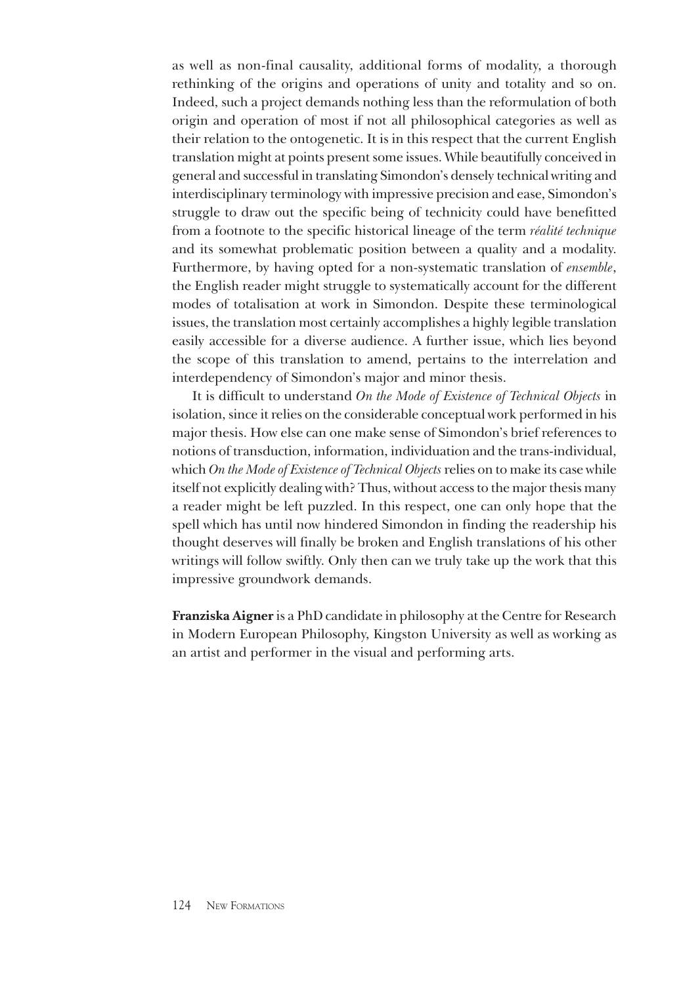as well as non-final causality, additional forms of modality, a thorough rethinking of the origins and operations of unity and totality and so on. Indeed, such a project demands nothing less than the reformulation of both origin and operation of most if not all philosophical categories as well as their relation to the ontogenetic. It is in this respect that the current English translation might at points present some issues. While beautifully conceived in general and successful in translating Simondon's densely technical writing and interdisciplinary terminology with impressive precision and ease, Simondon's struggle to draw out the specific being of technicity could have benefitted from a footnote to the specific historical lineage of the term *réalité technique* and its somewhat problematic position between a quality and a modality. Furthermore, by having opted for a non-systematic translation of *ensemble*, the English reader might struggle to systematically account for the different modes of totalisation at work in Simondon. Despite these terminological issues, the translation most certainly accomplishes a highly legible translation easily accessible for a diverse audience. A further issue, which lies beyond the scope of this translation to amend, pertains to the interrelation and interdependency of Simondon's major and minor thesis.

It is difficult to understand *On the Mode of Existence of Technical Objects* in isolation, since it relies on the considerable conceptual work performed in his major thesis. How else can one make sense of Simondon's brief references to notions of transduction, information, individuation and the trans-individual, which *On the Mode of Existence of Technical Objects* relies on to make its case while itself not explicitly dealing with? Thus, without access to the major thesis many a reader might be left puzzled. In this respect, one can only hope that the spell which has until now hindered Simondon in finding the readership his thought deserves will finally be broken and English translations of his other writings will follow swiftly. Only then can we truly take up the work that this impressive groundwork demands.

**Franziska Aigner** is a PhD candidate in philosophy at the Centre for Research in Modern European Philosophy, Kingston University as well as working as an artist and performer in the visual and performing arts.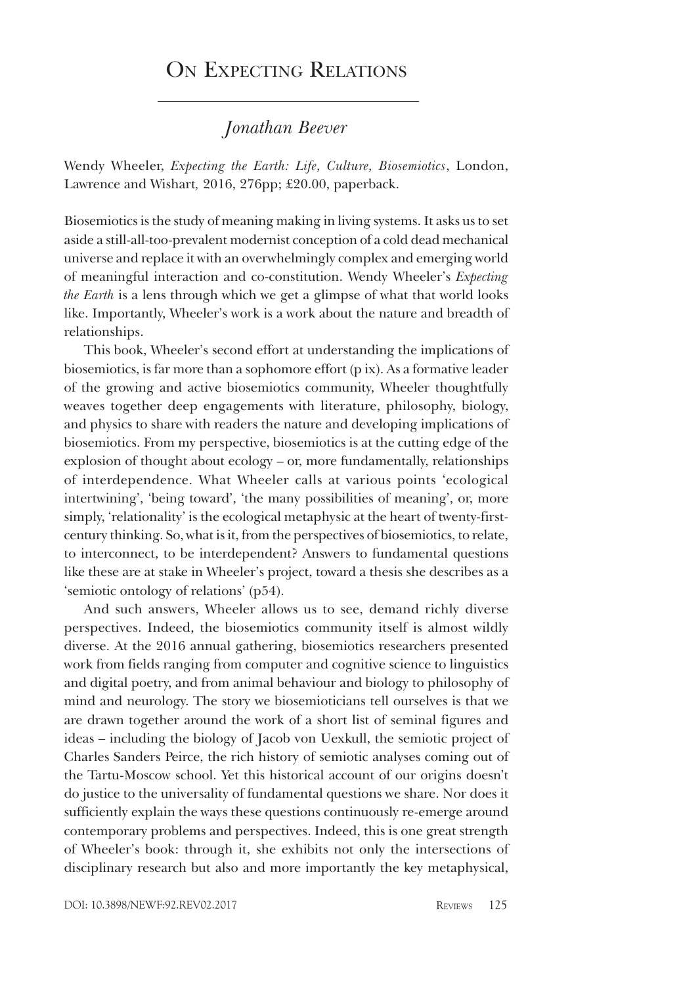## ON EXPECTING RELATIONS

### *Jonathan Beever*

Wendy Wheeler, *Expecting the Earth: Life, Culture, Biosemiotics*, London, Lawrence and Wishart*,* 2016, 276pp; £20.00, paperback.

Biosemiotics is the study of meaning making in living systems. It asks us to set aside a still-all-too-prevalent modernist conception of a cold dead mechanical universe and replace it with an overwhelmingly complex and emerging world of meaningful interaction and co-constitution. Wendy Wheeler's *Expecting the Earth* is a lens through which we get a glimpse of what that world looks like. Importantly, Wheeler's work is a work about the nature and breadth of relationships.

This book, Wheeler's second effort at understanding the implications of biosemiotics, is far more than a sophomore effort (p ix). As a formative leader of the growing and active biosemiotics community, Wheeler thoughtfully weaves together deep engagements with literature, philosophy, biology, and physics to share with readers the nature and developing implications of biosemiotics. From my perspective, biosemiotics is at the cutting edge of the explosion of thought about ecology – or, more fundamentally, relationships of interdependence. What Wheeler calls at various points 'ecological intertwining', 'being toward', 'the many possibilities of meaning', or, more simply, 'relationality' is the ecological metaphysic at the heart of twenty-firstcentury thinking. So, what is it, from the perspectives of biosemiotics, to relate, to interconnect, to be interdependent? Answers to fundamental questions like these are at stake in Wheeler's project, toward a thesis she describes as a 'semiotic ontology of relations' (p54).

And such answers, Wheeler allows us to see, demand richly diverse perspectives. Indeed, the biosemiotics community itself is almost wildly diverse. At the 2016 annual gathering, biosemiotics researchers presented work from fields ranging from computer and cognitive science to linguistics and digital poetry, and from animal behaviour and biology to philosophy of mind and neurology. The story we biosemioticians tell ourselves is that we are drawn together around the work of a short list of seminal figures and ideas – including the biology of Jacob von Uexkull, the semiotic project of Charles Sanders Peirce, the rich history of semiotic analyses coming out of the Tartu-Moscow school. Yet this historical account of our origins doesn't do justice to the universality of fundamental questions we share. Nor does it sufficiently explain the ways these questions continuously re-emerge around contemporary problems and perspectives. Indeed, this is one great strength of Wheeler's book: through it, she exhibits not only the intersections of disciplinary research but also and more importantly the key metaphysical,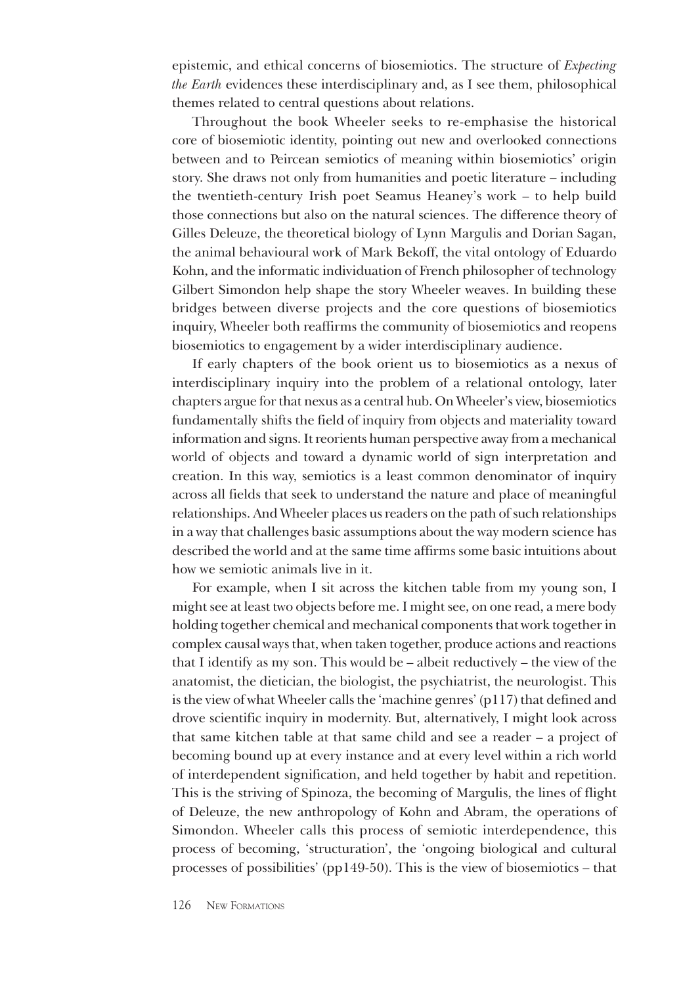epistemic, and ethical concerns of biosemiotics. The structure of *Expecting the Earth* evidences these interdisciplinary and, as I see them, philosophical themes related to central questions about relations.

Throughout the book Wheeler seeks to re-emphasise the historical core of biosemiotic identity, pointing out new and overlooked connections between and to Peircean semiotics of meaning within biosemiotics' origin story. She draws not only from humanities and poetic literature – including the twentieth-century Irish poet Seamus Heaney's work – to help build those connections but also on the natural sciences. The difference theory of Gilles Deleuze, the theoretical biology of Lynn Margulis and Dorian Sagan, the animal behavioural work of Mark Bekoff, the vital ontology of Eduardo Kohn, and the informatic individuation of French philosopher of technology Gilbert Simondon help shape the story Wheeler weaves. In building these bridges between diverse projects and the core questions of biosemiotics inquiry, Wheeler both reaffirms the community of biosemiotics and reopens biosemiotics to engagement by a wider interdisciplinary audience.

If early chapters of the book orient us to biosemiotics as a nexus of interdisciplinary inquiry into the problem of a relational ontology, later chapters argue for that nexus as a central hub. On Wheeler's view, biosemiotics fundamentally shifts the field of inquiry from objects and materiality toward information and signs. It reorients human perspective away from a mechanical world of objects and toward a dynamic world of sign interpretation and creation. In this way, semiotics is a least common denominator of inquiry across all fields that seek to understand the nature and place of meaningful relationships. And Wheeler places us readers on the path of such relationships in a way that challenges basic assumptions about the way modern science has described the world and at the same time affirms some basic intuitions about how we semiotic animals live in it.

For example, when I sit across the kitchen table from my young son, I might see at least two objects before me. I might see, on one read, a mere body holding together chemical and mechanical components that work together in complex causal ways that, when taken together, produce actions and reactions that I identify as my son. This would be – albeit reductively – the view of the anatomist, the dietician, the biologist, the psychiatrist, the neurologist. This is the view of what Wheeler calls the 'machine genres' (p117) that defined and drove scientific inquiry in modernity. But, alternatively, I might look across that same kitchen table at that same child and see a reader – a project of becoming bound up at every instance and at every level within a rich world of interdependent signification, and held together by habit and repetition. This is the striving of Spinoza, the becoming of Margulis, the lines of flight of Deleuze, the new anthropology of Kohn and Abram, the operations of Simondon. Wheeler calls this process of semiotic interdependence, this process of becoming, 'structuration', the 'ongoing biological and cultural processes of possibilities' (pp149-50). This is the view of biosemiotics – that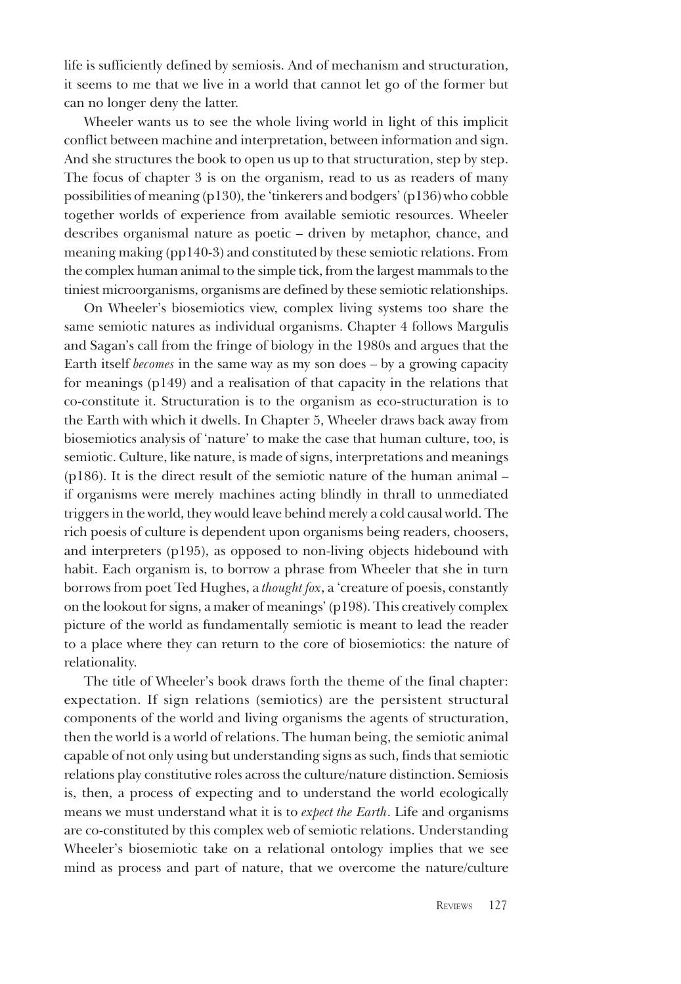life is sufficiently defined by semiosis. And of mechanism and structuration, it seems to me that we live in a world that cannot let go of the former but can no longer deny the latter.

Wheeler wants us to see the whole living world in light of this implicit conflict between machine and interpretation, between information and sign. And she structures the book to open us up to that structuration, step by step. The focus of chapter 3 is on the organism, read to us as readers of many possibilities of meaning (p130), the 'tinkerers and bodgers' (p136) who cobble together worlds of experience from available semiotic resources. Wheeler describes organismal nature as poetic – driven by metaphor, chance, and meaning making (pp140-3) and constituted by these semiotic relations. From the complex human animal to the simple tick, from the largest mammals to the tiniest microorganisms, organisms are defined by these semiotic relationships.

On Wheeler's biosemiotics view, complex living systems too share the same semiotic natures as individual organisms. Chapter 4 follows Margulis and Sagan's call from the fringe of biology in the 1980s and argues that the Earth itself *becomes* in the same way as my son does – by a growing capacity for meanings (p149) and a realisation of that capacity in the relations that co-constitute it. Structuration is to the organism as eco-structuration is to the Earth with which it dwells. In Chapter 5, Wheeler draws back away from biosemiotics analysis of 'nature' to make the case that human culture, too, is semiotic. Culture, like nature, is made of signs, interpretations and meanings (p186). It is the direct result of the semiotic nature of the human animal – if organisms were merely machines acting blindly in thrall to unmediated triggers in the world, they would leave behind merely a cold causal world. The rich poesis of culture is dependent upon organisms being readers, choosers, and interpreters (p195), as opposed to non-living objects hidebound with habit. Each organism is, to borrow a phrase from Wheeler that she in turn borrows from poet Ted Hughes, a *thought fox*, a 'creature of poesis, constantly on the lookout for signs, a maker of meanings' (p198). This creatively complex picture of the world as fundamentally semiotic is meant to lead the reader to a place where they can return to the core of biosemiotics: the nature of relationality.

The title of Wheeler's book draws forth the theme of the final chapter: expectation. If sign relations (semiotics) are the persistent structural components of the world and living organisms the agents of structuration, then the world is a world of relations. The human being, the semiotic animal capable of not only using but understanding signs as such, finds that semiotic relations play constitutive roles across the culture/nature distinction. Semiosis is, then, a process of expecting and to understand the world ecologically means we must understand what it is to *expect the Earth*. Life and organisms are co-constituted by this complex web of semiotic relations. Understanding Wheeler's biosemiotic take on a relational ontology implies that we see mind as process and part of nature, that we overcome the nature/culture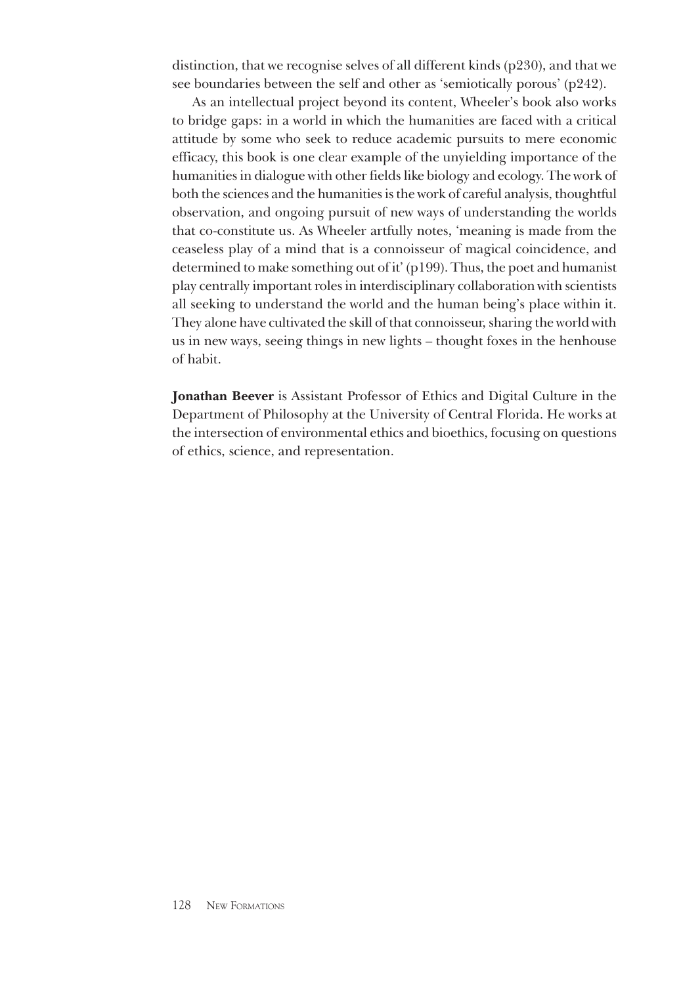distinction, that we recognise selves of all different kinds (p230), and that we see boundaries between the self and other as 'semiotically porous' (p242).

As an intellectual project beyond its content, Wheeler's book also works to bridge gaps: in a world in which the humanities are faced with a critical attitude by some who seek to reduce academic pursuits to mere economic efficacy, this book is one clear example of the unyielding importance of the humanities in dialogue with other fields like biology and ecology. The work of both the sciences and the humanities is the work of careful analysis, thoughtful observation, and ongoing pursuit of new ways of understanding the worlds that co-constitute us. As Wheeler artfully notes, 'meaning is made from the ceaseless play of a mind that is a connoisseur of magical coincidence, and determined to make something out of it' (p199). Thus, the poet and humanist play centrally important roles in interdisciplinary collaboration with scientists all seeking to understand the world and the human being's place within it. They alone have cultivated the skill of that connoisseur, sharing the world with us in new ways, seeing things in new lights – thought foxes in the henhouse of habit.

**Jonathan Beever** is Assistant Professor of Ethics and Digital Culture in the Department of Philosophy at the University of Central Florida. He works at the intersection of environmental ethics and bioethics, focusing on questions of ethics, science, and representation.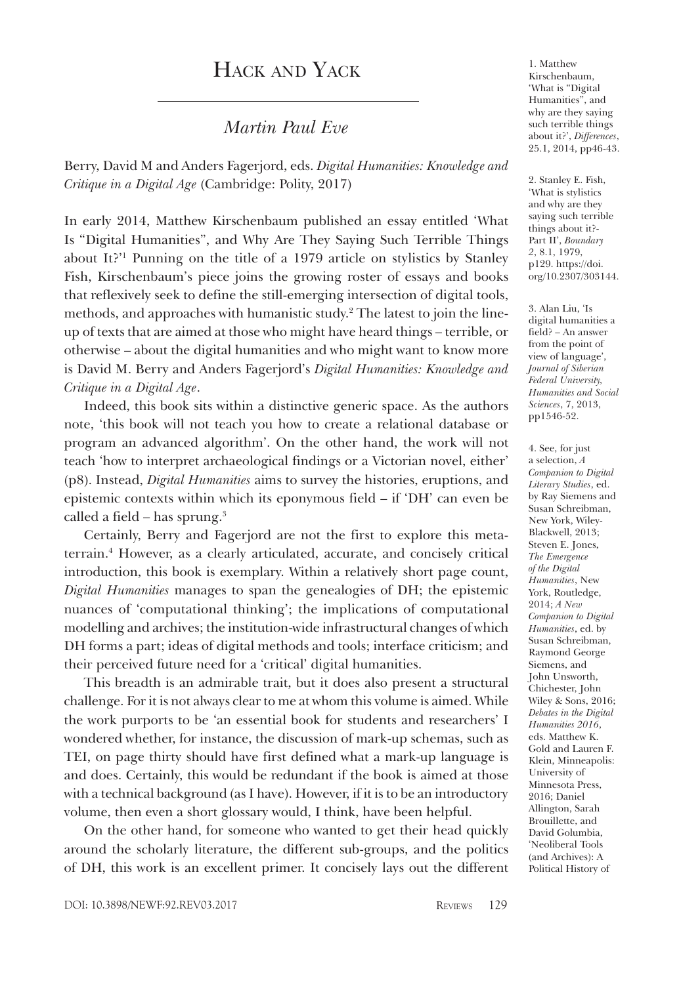# Hack and Yack

#### *Martin Paul Eve*

Berry, David M and Anders Fagerjord, eds. *Digital Humanities: Knowledge and Critique in a Digital Age* (Cambridge: Polity, 2017)

In early 2014, Matthew Kirschenbaum published an essay entitled 'What Is "Digital Humanities", and Why Are They Saying Such Terrible Things about It?'1 Punning on the title of a 1979 article on stylistics by Stanley Fish, Kirschenbaum's piece joins the growing roster of essays and books that reflexively seek to define the still-emerging intersection of digital tools, methods, and approaches with humanistic study.2 The latest to join the lineup of texts that are aimed at those who might have heard things – terrible, or otherwise – about the digital humanities and who might want to know more is David M. Berry and Anders Fagerjord's *Digital Humanities: Knowledge and Critique in a Digital Age*.

Indeed, this book sits within a distinctive generic space. As the authors note, 'this book will not teach you how to create a relational database or program an advanced algorithm'. On the other hand, the work will not teach 'how to interpret archaeological findings or a Victorian novel, either' (p8). Instead, *Digital Humanities* aims to survey the histories, eruptions, and epistemic contexts within which its eponymous field – if 'DH' can even be called a field – has sprung.3

Certainly, Berry and Fagerjord are not the first to explore this metaterrain.4 However, as a clearly articulated, accurate, and concisely critical introduction, this book is exemplary. Within a relatively short page count, *Digital Humanities* manages to span the genealogies of DH; the epistemic nuances of 'computational thinking'; the implications of computational modelling and archives; the institution-wide infrastructural changes of which DH forms a part; ideas of digital methods and tools; interface criticism; and their perceived future need for a 'critical' digital humanities.

This breadth is an admirable trait, but it does also present a structural challenge. For it is not always clear to me at whom this volume is aimed. While the work purports to be 'an essential book for students and researchers' I wondered whether, for instance, the discussion of mark-up schemas, such as TEI, on page thirty should have first defined what a mark-up language is and does. Certainly, this would be redundant if the book is aimed at those with a technical background (as I have). However, if it is to be an introductory volume, then even a short glossary would, I think, have been helpful.

On the other hand, for someone who wanted to get their head quickly around the scholarly literature, the different sub-groups, and the politics of DH, this work is an excellent primer. It concisely lays out the different

1. Matthew Kirschenbaum, 'What is "Digital Humanities", and why are they saying such terrible things about it?', *Differences*, 25.1, 2014, pp46-43.

2. Stanley E. Fish, 'What is stylistics and why are they saying such terrible things about it?- Part II', *Boundary 2*, 8.1, 1979, p129. https://doi. [org/10.2307/303144.](https://doi.org/10.2307/303144)

3. Alan Liu, 'Is digital humanities a field? – An answer from the point of view of language', *Journal of Siberian Federal University, Humanities and Social Sciences*, 7, 2013, pp1546-52.

4. See, for just a selection, *A Companion to Digital Literary Studies*, ed. by Ray Siemens and Susan Schreibman, New York, Wiley-Blackwell, 2013; Steven E. Jones, *The Emergence of the Digital Humanities*, New York, Routledge, 2014; *A New Companion to Digital Humanities*, ed. by Susan Schreibman, Raymond George Siemens, and John Unsworth, Chichester, John Wiley & Sons, 2016; *Debates in the Digital Humanities 2016*, eds. Matthew K. Gold and Lauren F. Klein, Minneapolis: University of Minnesota Press, 2016; Daniel Allington, Sarah Brouillette, and David Golumbia, 'Neoliberal Tools (and Archives): A Political History of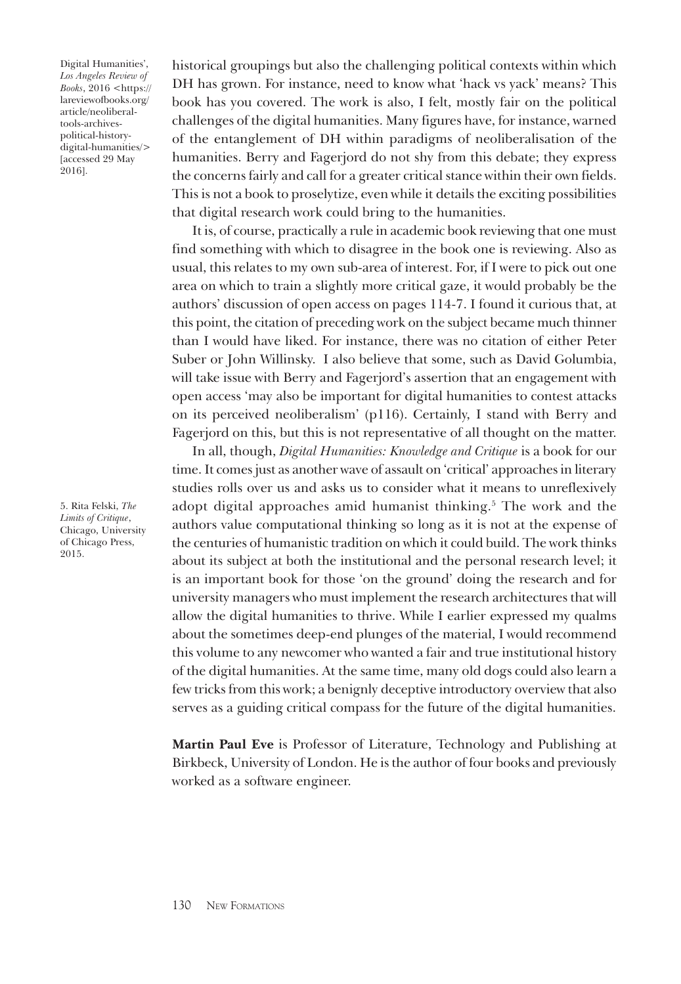Digital Humanities', *Los Angeles Review of Books*, 2016 <https:// [lareviewofbooks.org/](https://lareviewofbooks.org/article/neoliberal-tools-archives-political-history-digital-humanities/) article/neoliberaltools-archivespolitical-historydigital-humanities/> [accessed 29 May 2016].

5. Rita Felski, *The Limits of Critique*, Chicago, University of Chicago Press, 2015.

historical groupings but also the challenging political contexts within which DH has grown. For instance, need to know what 'hack vs yack' means? This book has you covered. The work is also, I felt, mostly fair on the political challenges of the digital humanities. Many figures have, for instance, warned of the entanglement of DH within paradigms of neoliberalisation of the humanities. Berry and Fagerjord do not shy from this debate; they express the concerns fairly and call for a greater critical stance within their own fields. This is not a book to proselytize, even while it details the exciting possibilities that digital research work could bring to the humanities.

It is, of course, practically a rule in academic book reviewing that one must find something with which to disagree in the book one is reviewing. Also as usual, this relates to my own sub-area of interest. For, if I were to pick out one area on which to train a slightly more critical gaze, it would probably be the authors' discussion of open access on pages 114-7. I found it curious that, at this point, the citation of preceding work on the subject became much thinner than I would have liked. For instance, there was no citation of either Peter Suber or John Willinsky. I also believe that some, such as David Golumbia, will take issue with Berry and Fagerjord's assertion that an engagement with open access 'may also be important for digital humanities to contest attacks on its perceived neoliberalism' (p116). Certainly, I stand with Berry and Fagerjord on this, but this is not representative of all thought on the matter.

In all, though, *Digital Humanities: Knowledge and Critique* is a book for our time. It comes just as another wave of assault on 'critical' approaches in literary studies rolls over us and asks us to consider what it means to unreflexively adopt digital approaches amid humanist thinking.<sup>5</sup> The work and the authors value computational thinking so long as it is not at the expense of the centuries of humanistic tradition on which it could build. The work thinks about its subject at both the institutional and the personal research level; it is an important book for those 'on the ground' doing the research and for university managers who must implement the research architectures that will allow the digital humanities to thrive. While I earlier expressed my qualms about the sometimes deep-end plunges of the material, I would recommend this volume to any newcomer who wanted a fair and true institutional history of the digital humanities. At the same time, many old dogs could also learn a few tricks from this work; a benignly deceptive introductory overview that also serves as a guiding critical compass for the future of the digital humanities.

**Martin Paul Eve** is Professor of Literature, Technology and Publishing at Birkbeck, University of London. He is the author of four books and previously worked as a software engineer.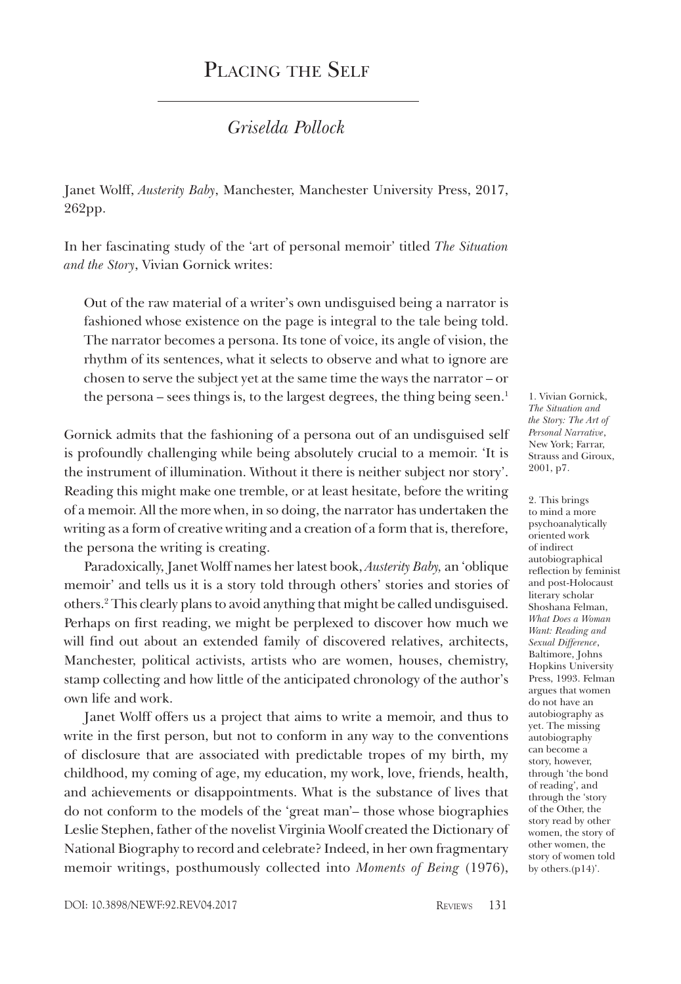# PLACING THE SELF

#### *Griselda Pollock*

Janet Wolff, *Austerity Baby*, Manchester, Manchester University Press, 2017, 262pp.

In her fascinating study of the 'art of personal memoir' titled *The Situation and the Story*, Vivian Gornick writes:

Out of the raw material of a writer's own undisguised being a narrator is fashioned whose existence on the page is integral to the tale being told. The narrator becomes a persona. Its tone of voice, its angle of vision, the rhythm of its sentences, what it selects to observe and what to ignore are chosen to serve the subject yet at the same time the ways the narrator – or the persona – sees things is, to the largest degrees, the thing being seen.<sup>1</sup>

Gornick admits that the fashioning of a persona out of an undisguised self is profoundly challenging while being absolutely crucial to a memoir. 'It is the instrument of illumination. Without it there is neither subject nor story'. Reading this might make one tremble, or at least hesitate, before the writing of a memoir. All the more when, in so doing, the narrator has undertaken the writing as a form of creative writing and a creation of a form that is, therefore, the persona the writing is creating.

Paradoxically, Janet Wolff names her latest book, *Austerity Baby,* an 'oblique memoir' and tells us it is a story told through others' stories and stories of others.2 This clearly plans to avoid anything that might be called undisguised. Perhaps on first reading, we might be perplexed to discover how much we will find out about an extended family of discovered relatives, architects, Manchester, political activists, artists who are women, houses, chemistry, stamp collecting and how little of the anticipated chronology of the author's own life and work.

Janet Wolff offers us a project that aims to write a memoir, and thus to write in the first person, but not to conform in any way to the conventions of disclosure that are associated with predictable tropes of my birth, my childhood, my coming of age, my education, my work, love, friends, health, and achievements or disappointments. What is the substance of lives that do not conform to the models of the 'great man'– those whose biographies Leslie Stephen, father of the novelist Virginia Woolf created the Dictionary of National Biography to record and celebrate? Indeed, in her own fragmentary memoir writings, posthumously collected into *Moments of Being* (1976),

1. Vivian Gornick, *The Situation and the Story: The Art of Personal Narrative*, New York; Farrar, Strauss and Giroux, 2001, p7.

2. This brings to mind a more psychoanalytically oriented work of indirect autobiographical reflection by feminist and post-Holocaust literary scholar Shoshana Felman, *What Does a Woman Want: Reading and Sexual Difference*, Baltimore, Johns Hopkins University Press, 1993. Felman argues that women do not have an autobiography as yet. The missing autobiography can become a story, however, through 'the bond of reading', and through the 'story of the Other, the story read by other women, the story of other women, the story of women told by others.(p14)'.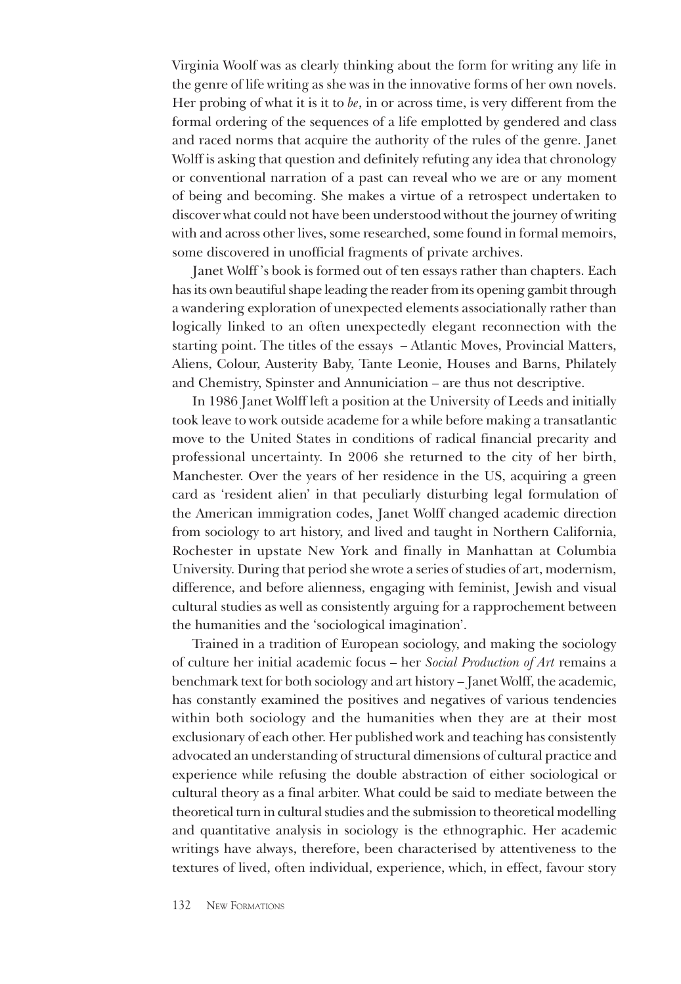Virginia Woolf was as clearly thinking about the form for writing any life in the genre of life writing as she was in the innovative forms of her own novels. Her probing of what it is it to *be*, in or across time, is very different from the formal ordering of the sequences of a life emplotted by gendered and class and raced norms that acquire the authority of the rules of the genre. Janet Wolff is asking that question and definitely refuting any idea that chronology or conventional narration of a past can reveal who we are or any moment of being and becoming. She makes a virtue of a retrospect undertaken to discover what could not have been understood without the journey of writing with and across other lives, some researched, some found in formal memoirs, some discovered in unofficial fragments of private archives.

Janet Wolff 's book is formed out of ten essays rather than chapters. Each has its own beautiful shape leading the reader from its opening gambit through a wandering exploration of unexpected elements associationally rather than logically linked to an often unexpectedly elegant reconnection with the starting point. The titles of the essays – Atlantic Moves, Provincial Matters, Aliens, Colour, Austerity Baby, Tante Leonie, Houses and Barns, Philately and Chemistry, Spinster and Annuniciation – are thus not descriptive.

In 1986 Janet Wolff left a position at the University of Leeds and initially took leave to work outside academe for a while before making a transatlantic move to the United States in conditions of radical financial precarity and professional uncertainty. In 2006 she returned to the city of her birth, Manchester. Over the years of her residence in the US, acquiring a green card as 'resident alien' in that peculiarly disturbing legal formulation of the American immigration codes, Janet Wolff changed academic direction from sociology to art history, and lived and taught in Northern California, Rochester in upstate New York and finally in Manhattan at Columbia University. During that period she wrote a series of studies of art, modernism, difference, and before alienness, engaging with feminist, Jewish and visual cultural studies as well as consistently arguing for a rapprochement between the humanities and the 'sociological imagination'.

Trained in a tradition of European sociology, and making the sociology of culture her initial academic focus – her *Social Production of Art* remains a benchmark text for both sociology and art history – Janet Wolff, the academic, has constantly examined the positives and negatives of various tendencies within both sociology and the humanities when they are at their most exclusionary of each other. Her published work and teaching has consistently advocated an understanding of structural dimensions of cultural practice and experience while refusing the double abstraction of either sociological or cultural theory as a final arbiter. What could be said to mediate between the theoretical turn in cultural studies and the submission to theoretical modelling and quantitative analysis in sociology is the ethnographic. Her academic writings have always, therefore, been characterised by attentiveness to the textures of lived, often individual, experience, which, in effect, favour story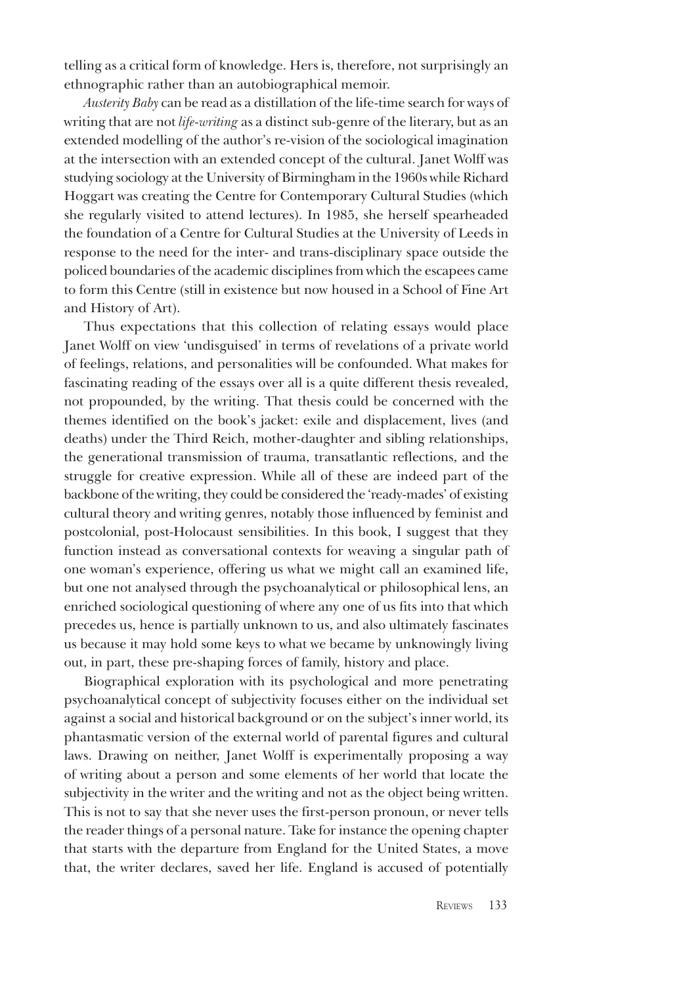telling as a critical form of knowledge. Hers is, therefore, not surprisingly an ethnographic rather than an autobiographical memoir.

*Austerity Baby* can be read as a distillation of the life-time search for ways of writing that are not *life-writing* as a distinct sub-genre of the literary, but as an extended modelling of the author's re-vision of the sociological imagination at the intersection with an extended concept of the cultural. Janet Wolff was studying sociology at the University of Birmingham in the 1960s while Richard Hoggart was creating the Centre for Contemporary Cultural Studies (which she regularly visited to attend lectures). In 1985, she herself spearheaded the foundation of a Centre for Cultural Studies at the University of Leeds in response to the need for the inter- and trans-disciplinary space outside the policed boundaries of the academic disciplines from which the escapees came to form this Centre (still in existence but now housed in a School of Fine Art and History of Art).

Thus expectations that this collection of relating essays would place Janet Wolff on view 'undisguised' in terms of revelations of a private world of feelings, relations, and personalities will be confounded. What makes for fascinating reading of the essays over all is a quite different thesis revealed, not propounded, by the writing. That thesis could be concerned with the themes identified on the book's jacket: exile and displacement, lives (and deaths) under the Third Reich, mother-daughter and sibling relationships, the generational transmission of trauma, transatlantic reflections, and the struggle for creative expression. While all of these are indeed part of the backbone of the writing, they could be considered the 'ready-mades' of existing cultural theory and writing genres, notably those influenced by feminist and postcolonial, post-Holocaust sensibilities. In this book, I suggest that they function instead as conversational contexts for weaving a singular path of one woman's experience, offering us what we might call an examined life, but one not analysed through the psychoanalytical or philosophical lens, an enriched sociological questioning of where any one of us fits into that which precedes us, hence is partially unknown to us, and also ultimately fascinates us because it may hold some keys to what we became by unknowingly living out, in part, these pre-shaping forces of family, history and place.

Biographical exploration with its psychological and more penetrating psychoanalytical concept of subjectivity focuses either on the individual set against a social and historical background or on the subject's inner world, its phantasmatic version of the external world of parental figures and cultural laws. Drawing on neither, Janet Wolff is experimentally proposing a way of writing about a person and some elements of her world that locate the subjectivity in the writer and the writing and not as the object being written. This is not to say that she never uses the first-person pronoun, or never tells the reader things of a personal nature. Take for instance the opening chapter that starts with the departure from England for the United States, a move that, the writer declares, saved her life. England is accused of potentially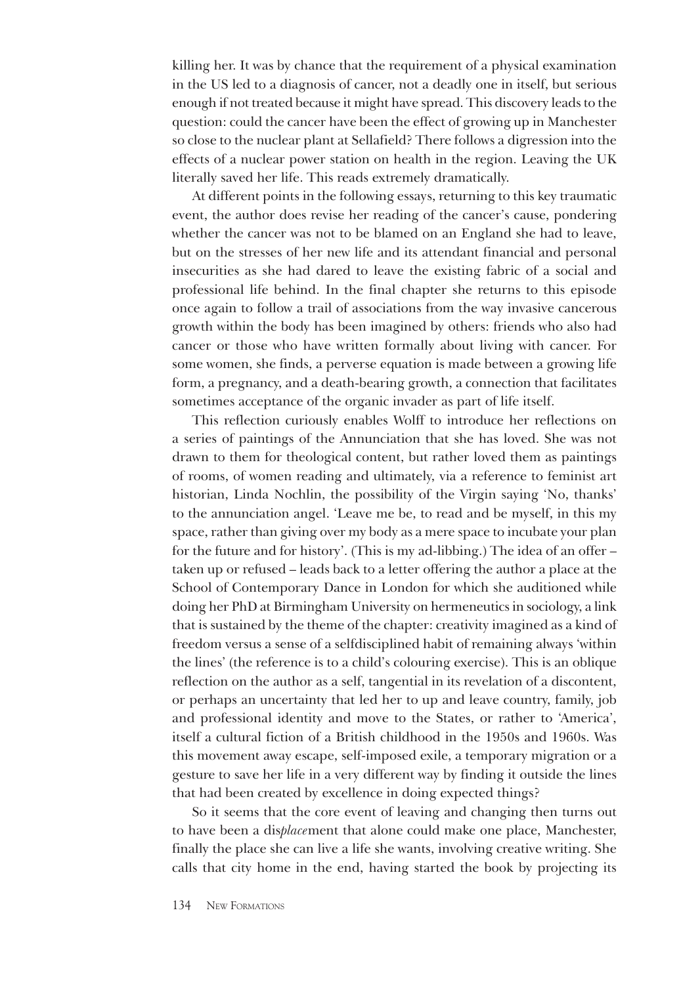killing her. It was by chance that the requirement of a physical examination in the US led to a diagnosis of cancer, not a deadly one in itself, but serious enough if not treated because it might have spread. This discovery leads to the question: could the cancer have been the effect of growing up in Manchester so close to the nuclear plant at Sellafield? There follows a digression into the effects of a nuclear power station on health in the region. Leaving the UK literally saved her life. This reads extremely dramatically.

At different points in the following essays, returning to this key traumatic event, the author does revise her reading of the cancer's cause, pondering whether the cancer was not to be blamed on an England she had to leave, but on the stresses of her new life and its attendant financial and personal insecurities as she had dared to leave the existing fabric of a social and professional life behind. In the final chapter she returns to this episode once again to follow a trail of associations from the way invasive cancerous growth within the body has been imagined by others: friends who also had cancer or those who have written formally about living with cancer. For some women, she finds, a perverse equation is made between a growing life form, a pregnancy, and a death-bearing growth, a connection that facilitates sometimes acceptance of the organic invader as part of life itself.

This reflection curiously enables Wolff to introduce her reflections on a series of paintings of the Annunciation that she has loved. She was not drawn to them for theological content, but rather loved them as paintings of rooms, of women reading and ultimately, via a reference to feminist art historian, Linda Nochlin, the possibility of the Virgin saying 'No, thanks' to the annunciation angel. 'Leave me be, to read and be myself, in this my space, rather than giving over my body as a mere space to incubate your plan for the future and for history'. (This is my ad-libbing.) The idea of an offer – taken up or refused – leads back to a letter offering the author a place at the School of Contemporary Dance in London for which she auditioned while doing her PhD at Birmingham University on hermeneutics in sociology, a link that is sustained by the theme of the chapter: creativity imagined as a kind of freedom versus a sense of a selfdisciplined habit of remaining always 'within the lines' (the reference is to a child's colouring exercise). This is an oblique reflection on the author as a self, tangential in its revelation of a discontent, or perhaps an uncertainty that led her to up and leave country, family, job and professional identity and move to the States, or rather to 'America', itself a cultural fiction of a British childhood in the 1950s and 1960s. Was this movement away escape, self-imposed exile, a temporary migration or a gesture to save her life in a very different way by finding it outside the lines that had been created by excellence in doing expected things?

So it seems that the core event of leaving and changing then turns out to have been a dis*place*ment that alone could make one place, Manchester, finally the place she can live a life she wants, involving creative writing. She calls that city home in the end, having started the book by projecting its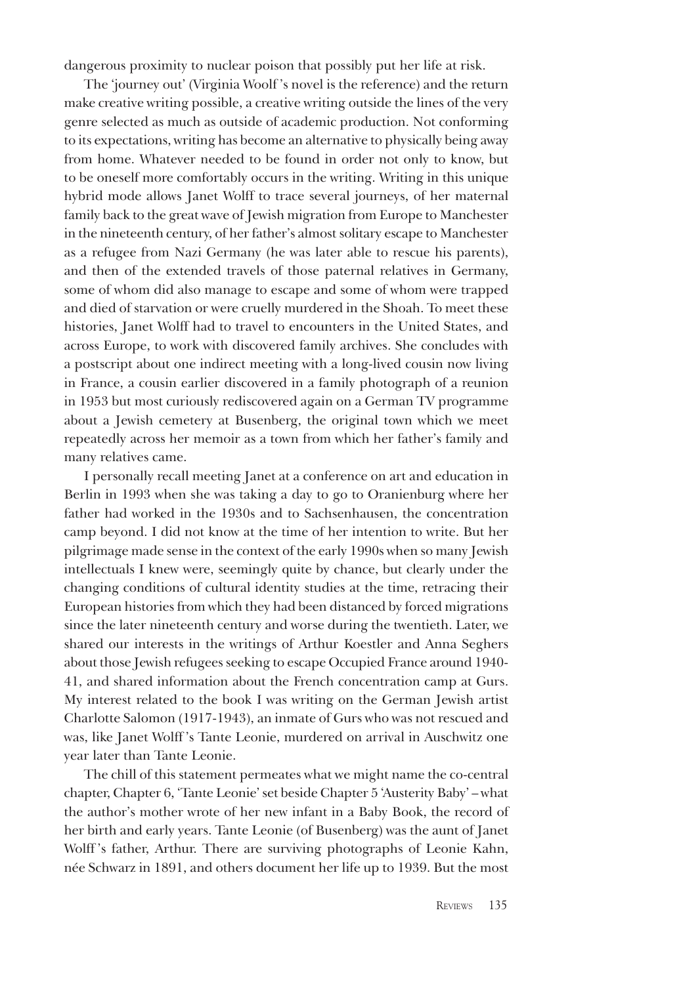dangerous proximity to nuclear poison that possibly put her life at risk.

The 'journey out' (Virginia Woolf 's novel is the reference) and the return make creative writing possible, a creative writing outside the lines of the very genre selected as much as outside of academic production. Not conforming to its expectations, writing has become an alternative to physically being away from home. Whatever needed to be found in order not only to know, but to be oneself more comfortably occurs in the writing. Writing in this unique hybrid mode allows Janet Wolff to trace several journeys, of her maternal family back to the great wave of Jewish migration from Europe to Manchester in the nineteenth century, of her father's almost solitary escape to Manchester as a refugee from Nazi Germany (he was later able to rescue his parents), and then of the extended travels of those paternal relatives in Germany, some of whom did also manage to escape and some of whom were trapped and died of starvation or were cruelly murdered in the Shoah. To meet these histories, Janet Wolff had to travel to encounters in the United States, and across Europe, to work with discovered family archives. She concludes with a postscript about one indirect meeting with a long-lived cousin now living in France, a cousin earlier discovered in a family photograph of a reunion in 1953 but most curiously rediscovered again on a German TV programme about a Jewish cemetery at Busenberg, the original town which we meet repeatedly across her memoir as a town from which her father's family and many relatives came.

I personally recall meeting Janet at a conference on art and education in Berlin in 1993 when she was taking a day to go to Oranienburg where her father had worked in the 1930s and to Sachsenhausen, the concentration camp beyond. I did not know at the time of her intention to write. But her pilgrimage made sense in the context of the early 1990s when so many Jewish intellectuals I knew were, seemingly quite by chance, but clearly under the changing conditions of cultural identity studies at the time, retracing their European histories from which they had been distanced by forced migrations since the later nineteenth century and worse during the twentieth. Later, we shared our interests in the writings of Arthur Koestler and Anna Seghers about those Jewish refugees seeking to escape Occupied France around 1940- 41, and shared information about the French concentration camp at Gurs. My interest related to the book I was writing on the German Jewish artist Charlotte Salomon (1917-1943), an inmate of Gurs who was not rescued and was, like Janet Wolff 's Tante Leonie, murdered on arrival in Auschwitz one year later than Tante Leonie.

The chill of this statement permeates what we might name the co-central chapter, Chapter 6, 'Tante Leonie' set beside Chapter 5 'Austerity Baby' – what the author's mother wrote of her new infant in a Baby Book, the record of her birth and early years. Tante Leonie (of Busenberg) was the aunt of Janet Wolff 's father, Arthur. There are surviving photographs of Leonie Kahn, née Schwarz in 1891, and others document her life up to 1939. But the most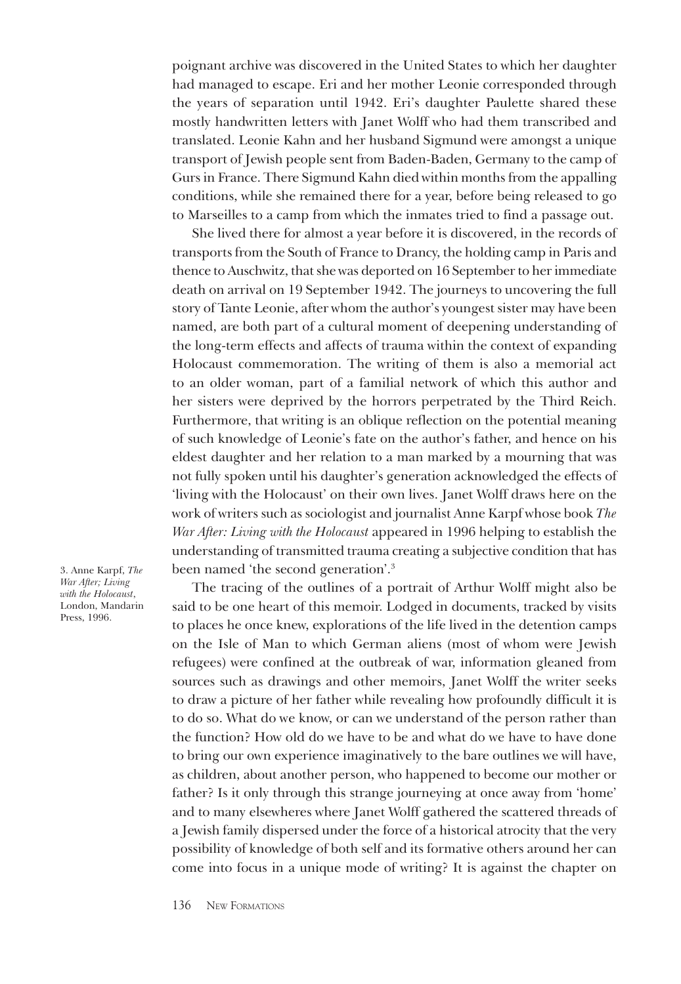poignant archive was discovered in the United States to which her daughter had managed to escape. Eri and her mother Leonie corresponded through the years of separation until 1942. Eri's daughter Paulette shared these mostly handwritten letters with Janet Wolff who had them transcribed and translated. Leonie Kahn and her husband Sigmund were amongst a unique transport of Jewish people sent from Baden-Baden, Germany to the camp of Gurs in France. There Sigmund Kahn died within months from the appalling conditions, while she remained there for a year, before being released to go to Marseilles to a camp from which the inmates tried to find a passage out.

She lived there for almost a year before it is discovered, in the records of transports from the South of France to Drancy, the holding camp in Paris and thence to Auschwitz, that she was deported on 16 September to her immediate death on arrival on 19 September 1942. The journeys to uncovering the full story of Tante Leonie, after whom the author's youngest sister may have been named, are both part of a cultural moment of deepening understanding of the long-term effects and affects of trauma within the context of expanding Holocaust commemoration. The writing of them is also a memorial act to an older woman, part of a familial network of which this author and her sisters were deprived by the horrors perpetrated by the Third Reich. Furthermore, that writing is an oblique reflection on the potential meaning of such knowledge of Leonie's fate on the author's father, and hence on his eldest daughter and her relation to a man marked by a mourning that was not fully spoken until his daughter's generation acknowledged the effects of 'living with the Holocaust' on their own lives. Janet Wolff draws here on the work of writers such as sociologist and journalist Anne Karpf whose book *The War After: Living with the Holocaust* appeared in 1996 helping to establish the understanding of transmitted trauma creating a subjective condition that has been named 'the second generation'.3

3. Anne Karpf, *The War After; Living*  with the Holocaust<sub>,</sub> London, Mandarin Press, 1996.

The tracing of the outlines of a portrait of Arthur Wolff might also be said to be one heart of this memoir. Lodged in documents, tracked by visits to places he once knew, explorations of the life lived in the detention camps on the Isle of Man to which German aliens (most of whom were Jewish refugees) were confined at the outbreak of war, information gleaned from sources such as drawings and other memoirs, Janet Wolff the writer seeks to draw a picture of her father while revealing how profoundly difficult it is to do so. What do we know, or can we understand of the person rather than the function? How old do we have to be and what do we have to have done to bring our own experience imaginatively to the bare outlines we will have, as children, about another person, who happened to become our mother or father? Is it only through this strange journeying at once away from 'home' and to many elsewheres where Janet Wolff gathered the scattered threads of a Jewish family dispersed under the force of a historical atrocity that the very possibility of knowledge of both self and its formative others around her can come into focus in a unique mode of writing? It is against the chapter on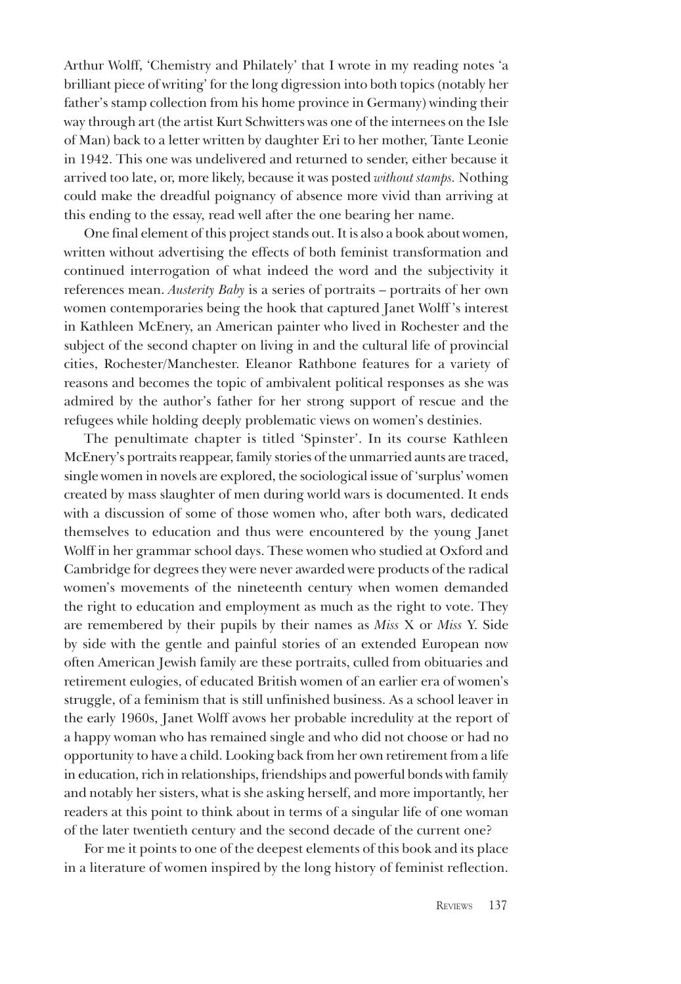Arthur Wolff, 'Chemistry and Philately' that I wrote in my reading notes 'a brilliant piece of writing' for the long digression into both topics (notably her father's stamp collection from his home province in Germany) winding their way through art (the artist Kurt Schwitters was one of the internees on the Isle of Man) back to a letter written by daughter Eri to her mother, Tante Leonie in 1942. This one was undelivered and returned to sender, either because it arrived too late, or, more likely, because it was posted *without stamps.* Nothing could make the dreadful poignancy of absence more vivid than arriving at this ending to the essay, read well after the one bearing her name.

One final element of this project stands out. It is also a book about women, written without advertising the effects of both feminist transformation and continued interrogation of what indeed the word and the subjectivity it references mean. *Austerity Baby* is a series of portraits – portraits of her own women contemporaries being the hook that captured Janet Wolff 's interest in Kathleen McEnery, an American painter who lived in Rochester and the subject of the second chapter on living in and the cultural life of provincial cities, Rochester/Manchester. Eleanor Rathbone features for a variety of reasons and becomes the topic of ambivalent political responses as she was admired by the author's father for her strong support of rescue and the refugees while holding deeply problematic views on women's destinies.

The penultimate chapter is titled 'Spinster'. In its course Kathleen McEnery's portraits reappear, family stories of the unmarried aunts are traced, single women in novels are explored, the sociological issue of 'surplus' women created by mass slaughter of men during world wars is documented. It ends with a discussion of some of those women who, after both wars, dedicated themselves to education and thus were encountered by the young Janet Wolff in her grammar school days. These women who studied at Oxford and Cambridge for degrees they were never awarded were products of the radical women's movements of the nineteenth century when women demanded the right to education and employment as much as the right to vote. They are remembered by their pupils by their names as *Miss* X or *Miss* Y. Side by side with the gentle and painful stories of an extended European now often American Jewish family are these portraits, culled from obituaries and retirement eulogies, of educated British women of an earlier era of women's struggle, of a feminism that is still unfinished business. As a school leaver in the early 1960s, Janet Wolff avows her probable incredulity at the report of a happy woman who has remained single and who did not choose or had no opportunity to have a child. Looking back from her own retirement from a life in education, rich in relationships, friendships and powerful bonds with family and notably her sisters, what is she asking herself, and more importantly, her readers at this point to think about in terms of a singular life of one woman of the later twentieth century and the second decade of the current one?

For me it points to one of the deepest elements of this book and its place in a literature of women inspired by the long history of feminist reflection.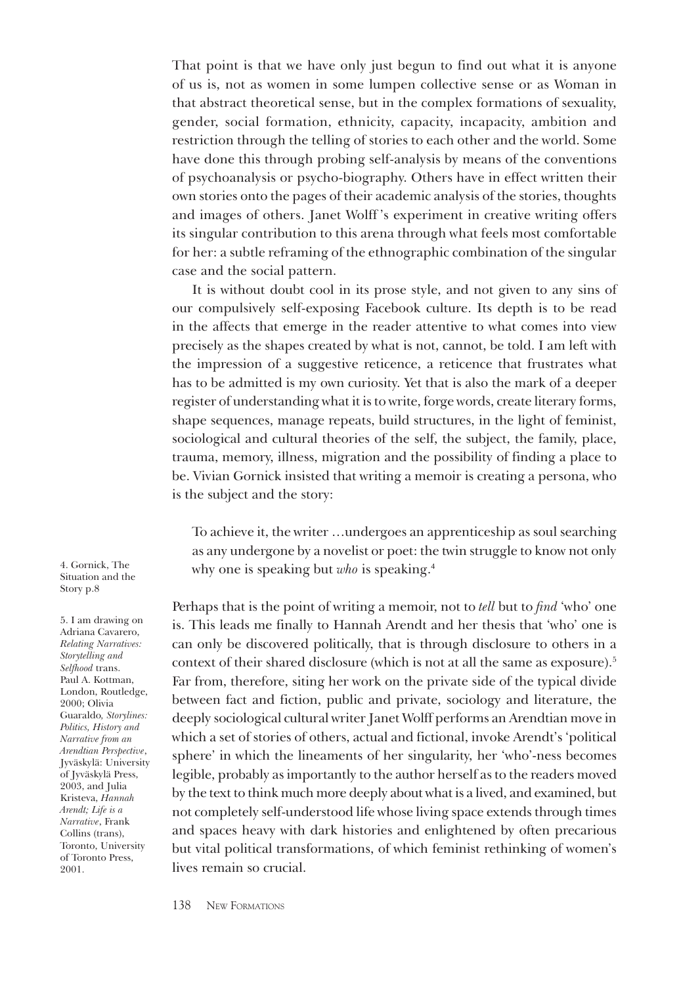That point is that we have only just begun to find out what it is anyone of us is, not as women in some lumpen collective sense or as Woman in that abstract theoretical sense, but in the complex formations of sexuality, gender, social formation, ethnicity, capacity, incapacity, ambition and restriction through the telling of stories to each other and the world. Some have done this through probing self-analysis by means of the conventions of psychoanalysis or psycho-biography. Others have in effect written their own stories onto the pages of their academic analysis of the stories, thoughts and images of others. Janet Wolff 's experiment in creative writing offers its singular contribution to this arena through what feels most comfortable for her: a subtle reframing of the ethnographic combination of the singular case and the social pattern.

It is without doubt cool in its prose style, and not given to any sins of our compulsively self-exposing Facebook culture. Its depth is to be read in the affects that emerge in the reader attentive to what comes into view precisely as the shapes created by what is not, cannot, be told. I am left with the impression of a suggestive reticence, a reticence that frustrates what has to be admitted is my own curiosity. Yet that is also the mark of a deeper register of understanding what it is to write, forge words, create literary forms, shape sequences, manage repeats, build structures, in the light of feminist, sociological and cultural theories of the self, the subject, the family, place, trauma, memory, illness, migration and the possibility of finding a place to be. Vivian Gornick insisted that writing a memoir is creating a persona, who is the subject and the story:

To achieve it, the writer …undergoes an apprenticeship as soul searching as any undergone by a novelist or poet: the twin struggle to know not only why one is speaking but *who* is speaking.<sup>4</sup>

Perhaps that is the point of writing a memoir, not to *tell* but to *find* 'who' one is. This leads me finally to Hannah Arendt and her thesis that 'who' one is can only be discovered politically, that is through disclosure to others in a context of their shared disclosure (which is not at all the same as exposure).<sup>5</sup> Far from, therefore, siting her work on the private side of the typical divide between fact and fiction, public and private, sociology and literature, the deeply sociological cultural writer Janet Wolff performs an Arendtian move in which a set of stories of others, actual and fictional, invoke Arendt's 'political sphere' in which the lineaments of her singularity, her 'who'-ness becomes legible, probably as importantly to the author herself as to the readers moved by the text to think much more deeply about what is a lived, and examined, but not completely self-understood life whose living space extends through times and spaces heavy with dark histories and enlightened by often precarious but vital political transformations, of which feminist rethinking of women's lives remain so crucial.

4. Gornick, The Situation and the Story p.8

5. I am drawing on Adriana Cavarero, *Relating Narratives: Storytelling and Selfhood* trans. Paul A. Kottman, London, Routledge, 2000; Olivia Guaraldo*, Storylines: Politics, History and Narrative from an Arendtian Perspective*, Jyväskylä: University of Jyväskylä Press, 2003, and Julia Kristeva, *Hannah Arendt; Life is a Narrative*, Frank Collins (trans), Toronto, University of Toronto Press, 2001.